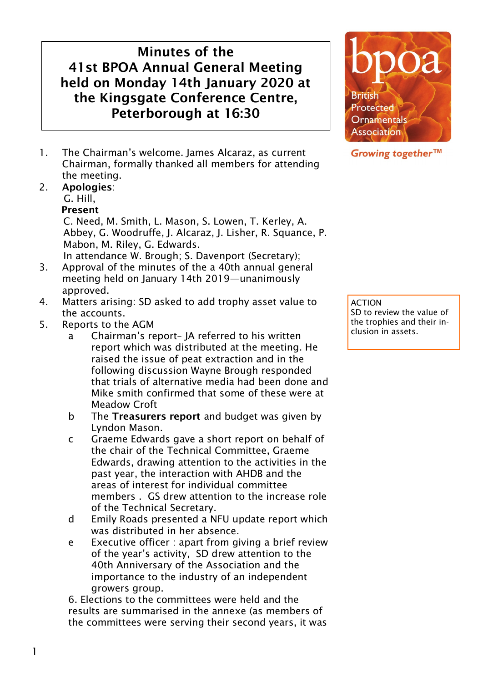# Minutes of the 41st BPOA Annual General Meeting held on Monday 14th January 2020 at the Kingsgate Conference Centre, Peterborough at 16:30

1. The Chairman's welcome. James Alcaraz, as current Chairman, formally thanked all members for attending the meeting.

## 2. Apologies:

G. Hill,

#### Present

C. Need, M. Smith, L. Mason, S. Lowen, T. Kerley, A. Abbey, G. Woodruffe, J. Alcaraz, J. Lisher, R. Squance, P. Mabon, M. Riley, G. Edwards.

In attendance W. Brough; S. Davenport (Secretary);

- 3. Approval of the minutes of the a 40th annual general meeting held on January 14th 2019—unanimously approved.
- 4. Matters arising: SD asked to add trophy asset value to the accounts.
- 5. Reports to the AGM
	- a Chairman's report– JA referred to his written report which was distributed at the meeting. He raised the issue of peat extraction and in the following discussion Wayne Brough responded that trials of alternative media had been done and Mike smith confirmed that some of these were at Meadow Croft
	- b The Treasurers report and budget was given by Lyndon Mason.
	- c Graeme Edwards gave a short report on behalf of the chair of the Technical Committee, Graeme Edwards, drawing attention to the activities in the past year, the interaction with AHDB and the areas of interest for individual committee members . GS drew attention to the increase role of the Technical Secretary.
	- d Emily Roads presented a NFU update report which was distributed in her absence.
	- e Executive officer : apart from giving a brief review of the year's activity, SD drew attention to the 40th Anniversary of the Association and the importance to the industry of an independent growers group.

6. Elections to the committees were held and the results are summarised in the annexe (as members of the committees were serving their second years, it was



### Growing together™

ACTION SD to review the value of the trophies and their inclusion in assets.